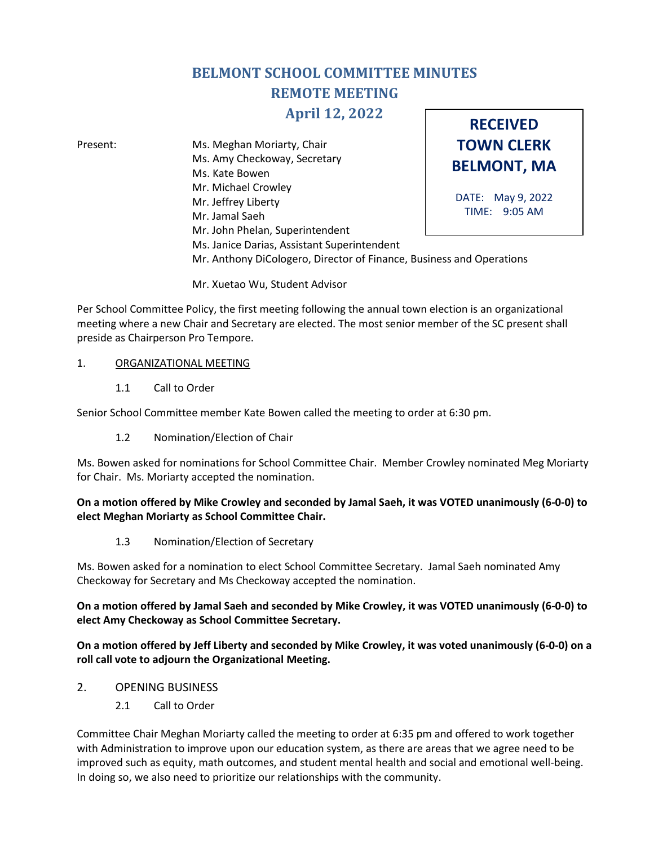# **BELMONT SCHOOL COMMITTEE MINUTES REMOTE MEETING**

# **April 12, 2022**

**TOWN CLERK BELMONT, MA** DATE: May 9, 2022 TIME: 9:05 AM Present: Ms. Meghan Moriarty, Chair Ms. Amy Checkoway, Secretary Ms. Kate Bowen Mr. Michael Crowley Mr. Jeffrey Liberty Mr. Jamal Saeh Mr. John Phelan, Superintendent Ms. Janice Darias, Assistant Superintendent Mr. Anthony DiCologero, Director of Finance, Business and Operations

**RECEIVED**

Mr. Xuetao Wu, Student Advisor

Per School Committee Policy, the first meeting following the annual town election is an organizational meeting where a new Chair and Secretary are elected. The most senior member of the SC present shall preside as Chairperson Pro Tempore.

## 1. ORGANIZATIONAL MEETING

1.1 Call to Order

Senior School Committee member Kate Bowen called the meeting to order at 6:30 pm.

1.2 Nomination/Election of Chair

Ms. Bowen asked for nominations for School Committee Chair. Member Crowley nominated Meg Moriarty for Chair. Ms. Moriarty accepted the nomination.

# **On a motion offered by Mike Crowley and seconded by Jamal Saeh, it was VOTED unanimously (6-0-0) to elect Meghan Moriarty as School Committee Chair.**

1.3 Nomination/Election of Secretary

Ms. Bowen asked for a nomination to elect School Committee Secretary. Jamal Saeh nominated Amy Checkoway for Secretary and Ms Checkoway accepted the nomination.

**On a motion offered by Jamal Saeh and seconded by Mike Crowley, it was VOTED unanimously (6-0-0) to elect Amy Checkoway as School Committee Secretary.**

**On a motion offered by Jeff Liberty and seconded by Mike Crowley, it was voted unanimously (6-0-0) on a roll call vote to adjourn the Organizational Meeting.** 

- 2. OPENING BUSINESS
	- 2.1 Call to Order

Committee Chair Meghan Moriarty called the meeting to order at 6:35 pm and offered to work together with Administration to improve upon our education system, as there are areas that we agree need to be improved such as equity, math outcomes, and student mental health and social and emotional well-being. In doing so, we also need to prioritize our relationships with the community.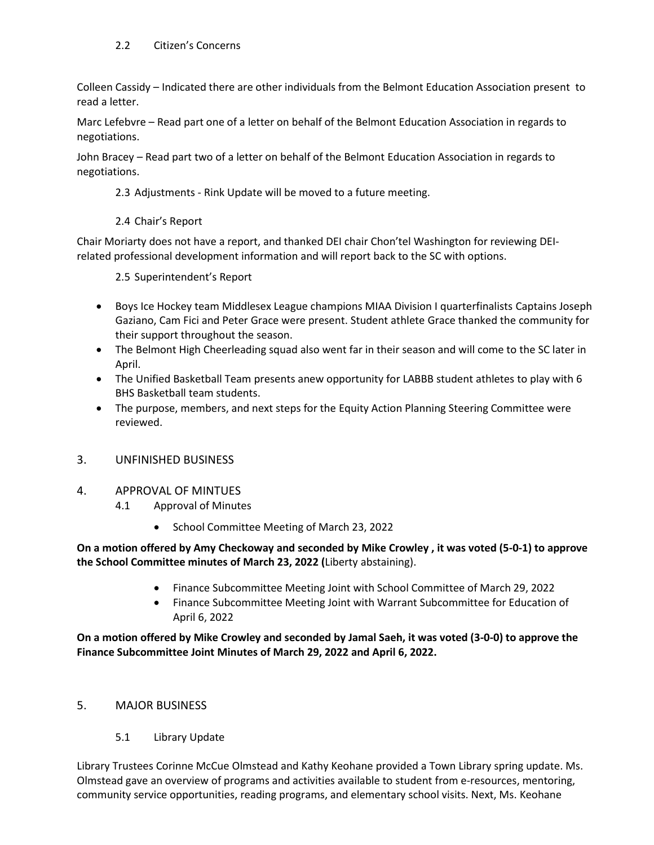# 2.2 Citizen's Concerns

Colleen Cassidy – Indicated there are other individuals from the Belmont Education Association present to read a letter.

Marc Lefebvre – Read part one of a letter on behalf of the Belmont Education Association in regards to negotiations.

John Bracey – Read part two of a letter on behalf of the Belmont Education Association in regards to negotiations.

- 2.3 Adjustments Rink Update will be moved to a future meeting.
- 2.4 Chair's Report

Chair Moriarty does not have a report, and thanked DEI chair Chon'tel Washington for reviewing DEIrelated professional development information and will report back to the SC with options.

2.5 Superintendent's Report

- Boys Ice Hockey team Middlesex League champions MIAA Division I quarterfinalists Captains Joseph Gaziano, Cam Fici and Peter Grace were present. Student athlete Grace thanked the community for their support throughout the season.
- The Belmont High Cheerleading squad also went far in their season and will come to the SC later in April.
- The Unified Basketball Team presents anew opportunity for LABBB student athletes to play with 6 BHS Basketball team students.
- The purpose, members, and next steps for the Equity Action Planning Steering Committee were reviewed.
- 3. UNFINISHED BUSINESS
- 4. APPROVAL OF MINTUES
	- 4.1 Approval of Minutes
		- School Committee Meeting of March 23, 2022

#### **On a motion offered by Amy Checkoway and seconded by Mike Crowley , it was voted (5-0-1) to approve the School Committee minutes of March 23, 2022 (**Liberty abstaining).

- Finance Subcommittee Meeting Joint with School Committee of March 29, 2022
- Finance Subcommittee Meeting Joint with Warrant Subcommittee for Education of April 6, 2022

**On a motion offered by Mike Crowley and seconded by Jamal Saeh, it was voted (3-0-0) to approve the Finance Subcommittee Joint Minutes of March 29, 2022 and April 6, 2022.**

#### 5. MAJOR BUSINESS

5.1 Library Update

Library Trustees Corinne McCue Olmstead and Kathy Keohane provided a Town Library spring update. Ms. Olmstead gave an overview of programs and activities available to student from e-resources, mentoring, community service opportunities, reading programs, and elementary school visits. Next, Ms. Keohane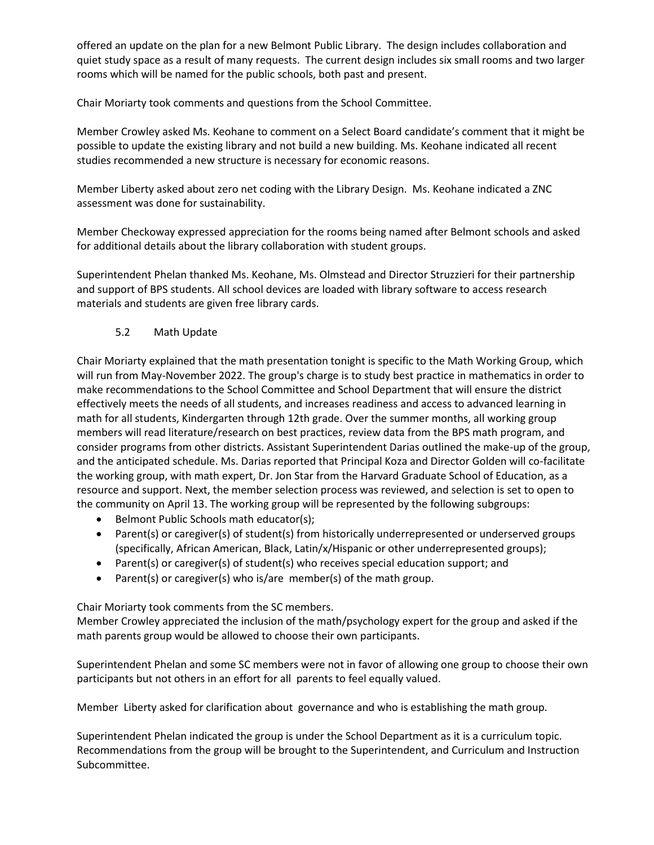offered an update on the plan for a new Belmont Public Library. The design includes collaboration and quiet study space as a result of many requests. The current design includes six small rooms and two larger rooms which will be named for the public schools, both past and present.

Chair Moriarty took comments and questions from the School Committee.

Member Crowley asked Ms. Keohane to comment on a Select Board candidate's comment that it might be possible to update the existing library and not build a new building. Ms. Keohane indicated all recent studies recommended a new structure is necessary for economic reasons.

Member Liberty asked about zero net coding with the Library Design. Ms. Keohane indicated a ZNC assessment was done for sustainability.

Member Checkoway expressed appreciation for the rooms being named after Belmont schools and asked for additional details about the library collaboration with student groups.

Superintendent Phelan thanked Ms. Keohane, Ms. Olmstead and Director Struzzieri for their partnership and support of BPS students. All school devices are loaded with library software to access research materials and students are given free library cards.

# 5.2 Math Update

Chair Moriarty explained that the math presentation tonight is specific to the Math Working Group, which will run from May-November 2022. The group's charge is to study best practice in mathematics in order to make recommendations to the School Committee and School Department that will ensure the district effectively meets the needs of all students, and increases readiness and access to advanced learning in math for all students, Kindergarten through 12th grade. Over the summer months, all working group members will read literature/research on best practices, review data from the BPS math program, and consider programs from other districts. Assistant Superintendent Darias outlined the make-up of the group, and the anticipated schedule. Ms. Darias reported that Principal Koza and Director Golden will co-facilitate the working group, with math expert, Dr. Jon Star from the Harvard Graduate School of Education, as a resource and support. Next, the member selection process was reviewed, and selection is set to open to the community on April 13. The working group will be represented by the following subgroups:

- Belmont Public Schools math educator(s);
- Parent(s) or caregiver(s) of student(s) from historically underrepresented or underserved groups (specifically, African American, Black, Latin/x/Hispanic or other underrepresented groups);
- Parent(s) or caregiver(s) of student(s) who receives special education support; and
- Parent(s) or caregiver(s) who is/are member(s) of the math group.

Chair Moriarty took comments from the SC members.

Member Crowley appreciated the inclusion of the math/psychology expert for the group and asked if the math parents group would be allowed to choose their own participants.

Superintendent Phelan and some SC members were not in favor of allowing one group to choose their own participants but not others in an effort for all parents to feel equally valued.

Member Liberty asked for clarification about governance and who is establishing the math group.

Superintendent Phelan indicated the group is under the School Department as it is a curriculum topic. Recommendations from the group will be brought to the Superintendent, and Curriculum and Instruction Subcommittee.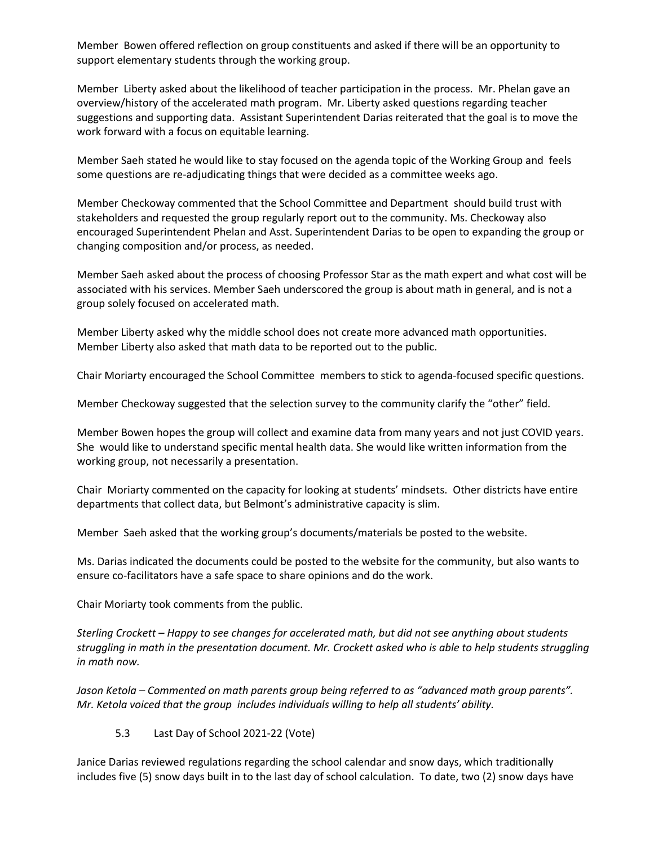Member Bowen offered reflection on group constituents and asked if there will be an opportunity to support elementary students through the working group.

Member Liberty asked about the likelihood of teacher participation in the process. Mr. Phelan gave an overview/history of the accelerated math program. Mr. Liberty asked questions regarding teacher suggestions and supporting data. Assistant Superintendent Darias reiterated that the goal is to move the work forward with a focus on equitable learning.

Member Saeh stated he would like to stay focused on the agenda topic of the Working Group and feels some questions are re-adjudicating things that were decided as a committee weeks ago.

Member Checkoway commented that the School Committee and Department should build trust with stakeholders and requested the group regularly report out to the community. Ms. Checkoway also encouraged Superintendent Phelan and Asst. Superintendent Darias to be open to expanding the group or changing composition and/or process, as needed.

Member Saeh asked about the process of choosing Professor Star as the math expert and what cost will be associated with his services. Member Saeh underscored the group is about math in general, and is not a group solely focused on accelerated math.

Member Liberty asked why the middle school does not create more advanced math opportunities. Member Liberty also asked that math data to be reported out to the public.

Chair Moriarty encouraged the School Committee members to stick to agenda-focused specific questions.

Member Checkoway suggested that the selection survey to the community clarify the "other" field.

Member Bowen hopes the group will collect and examine data from many years and not just COVID years. She would like to understand specific mental health data. She would like written information from the working group, not necessarily a presentation.

Chair Moriarty commented on the capacity for looking at students' mindsets. Other districts have entire departments that collect data, but Belmont's administrative capacity is slim.

Member Saeh asked that the working group's documents/materials be posted to the website.

Ms. Darias indicated the documents could be posted to the website for the community, but also wants to ensure co-facilitators have a safe space to share opinions and do the work.

Chair Moriarty took comments from the public.

*Sterling Crockett – Happy to see changes for accelerated math, but did not see anything about students struggling in math in the presentation document. Mr. Crockett asked who is able to help students struggling in math now.*

*Jason Ketola – Commented on math parents group being referred to as "advanced math group parents". Mr. Ketola voiced that the group includes individuals willing to help all students' ability.* 

5.3 Last Day of School 2021-22 (Vote)

Janice Darias reviewed regulations regarding the school calendar and snow days, which traditionally includes five (5) snow days built in to the last day of school calculation. To date, two (2) snow days have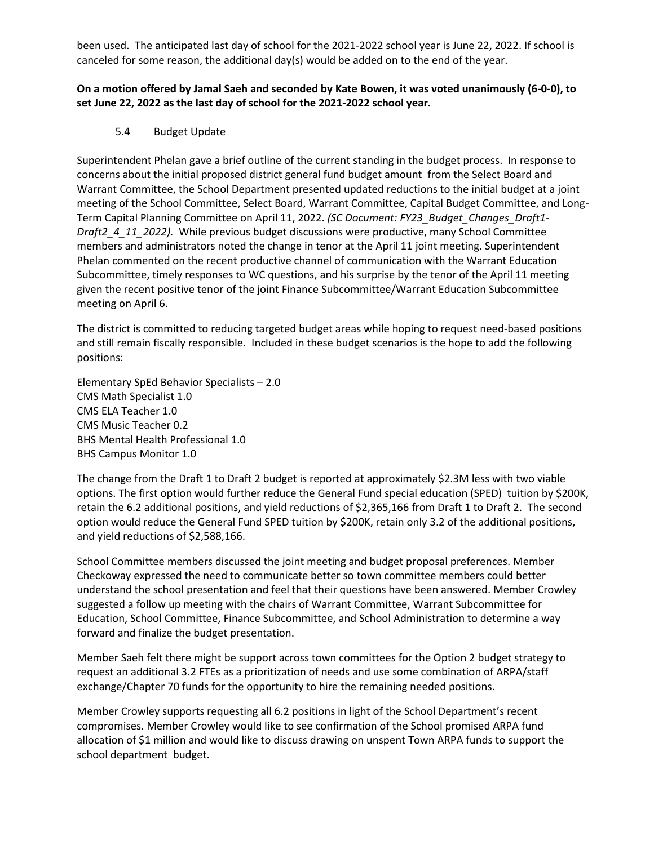been used. The anticipated last day of school for the 2021-2022 school year is June 22, 2022. If school is canceled for some reason, the additional day(s) would be added on to the end of the year.

# **On a motion offered by Jamal Saeh and seconded by Kate Bowen, it was voted unanimously (6-0-0), to set June 22, 2022 as the last day of school for the 2021-2022 school year.**

5.4 Budget Update

Superintendent Phelan gave a brief outline of the current standing in the budget process. In response to concerns about the initial proposed district general fund budget amount from the Select Board and Warrant Committee, the School Department presented updated reductions to the initial budget at a joint meeting of the School Committee, Select Board, Warrant Committee, Capital Budget Committee, and Long-Term Capital Planning Committee on April 11, 2022. *(SC Document: FY23\_Budget\_Changes\_Draft1- Draft2\_4\_11\_2022).* While previous budget discussions were productive, many School Committee members and administrators noted the change in tenor at the April 11 joint meeting. Superintendent Phelan commented on the recent productive channel of communication with the Warrant Education Subcommittee, timely responses to WC questions, and his surprise by the tenor of the April 11 meeting given the recent positive tenor of the joint Finance Subcommittee/Warrant Education Subcommittee meeting on April 6.

The district is committed to reducing targeted budget areas while hoping to request need-based positions and still remain fiscally responsible. Included in these budget scenarios is the hope to add the following positions:

Elementary SpEd Behavior Specialists – 2.0 CMS Math Specialist 1.0 CMS ELA Teacher 1.0 CMS Music Teacher 0.2 BHS Mental Health Professional 1.0 BHS Campus Monitor 1.0

The change from the Draft 1 to Draft 2 budget is reported at approximately \$2.3M less with two viable options. The first option would further reduce the General Fund special education (SPED) tuition by \$200K, retain the 6.2 additional positions, and yield reductions of \$2,365,166 from Draft 1 to Draft 2. The second option would reduce the General Fund SPED tuition by \$200K, retain only 3.2 of the additional positions, and yield reductions of \$2,588,166.

School Committee members discussed the joint meeting and budget proposal preferences. Member Checkoway expressed the need to communicate better so town committee members could better understand the school presentation and feel that their questions have been answered. Member Crowley suggested a follow up meeting with the chairs of Warrant Committee, Warrant Subcommittee for Education, School Committee, Finance Subcommittee, and School Administration to determine a way forward and finalize the budget presentation.

Member Saeh felt there might be support across town committees for the Option 2 budget strategy to request an additional 3.2 FTEs as a prioritization of needs and use some combination of ARPA/staff exchange/Chapter 70 funds for the opportunity to hire the remaining needed positions.

Member Crowley supports requesting all 6.2 positions in light of the School Department's recent compromises. Member Crowley would like to see confirmation of the School promised ARPA fund allocation of \$1 million and would like to discuss drawing on unspent Town ARPA funds to support the school department budget.